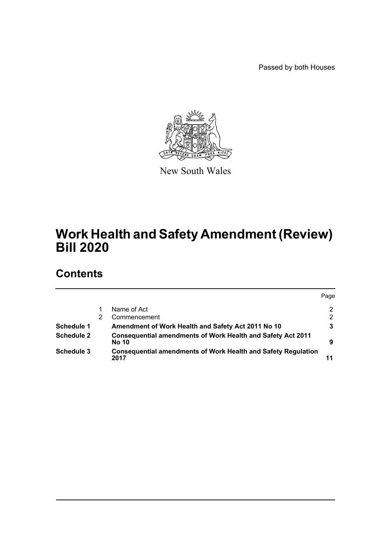Passed by both Houses



New South Wales

# **Work Health and Safety Amendment (Review) Bill 2020**

# **Contents**

|                   |                                                                              | Page |
|-------------------|------------------------------------------------------------------------------|------|
|                   | Name of Act                                                                  | 2    |
|                   | Commencement                                                                 | 2    |
| Schedule 1        | Amendment of Work Health and Safety Act 2011 No 10                           |      |
| <b>Schedule 2</b> | Consequential amendments of Work Health and Safety Act 2011<br><b>No 10</b>  | 9    |
| Schedule 3        | <b>Consequential amendments of Work Health and Safety Regulation</b><br>2017 |      |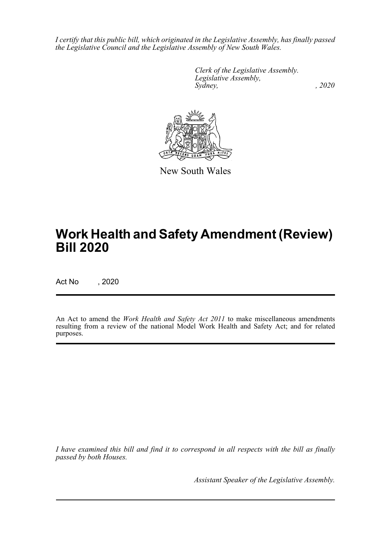*I certify that this public bill, which originated in the Legislative Assembly, has finally passed the Legislative Council and the Legislative Assembly of New South Wales.*

> *Clerk of the Legislative Assembly. Legislative Assembly, Sydney, , 2020*



New South Wales

# **Work Health and Safety Amendment (Review) Bill 2020**

Act No , 2020

An Act to amend the *Work Health and Safety Act 2011* to make miscellaneous amendments resulting from a review of the national Model Work Health and Safety Act; and for related purposes.

*I have examined this bill and find it to correspond in all respects with the bill as finally passed by both Houses.*

*Assistant Speaker of the Legislative Assembly.*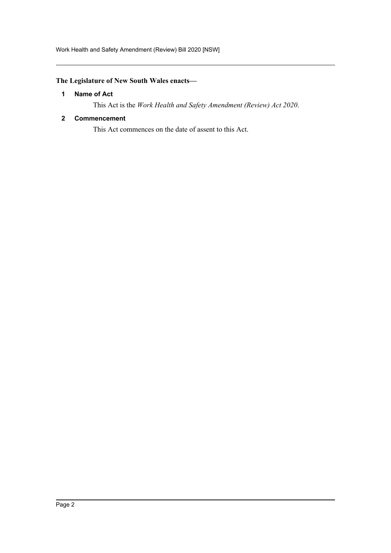Work Health and Safety Amendment (Review) Bill 2020 [NSW]

# <span id="page-2-0"></span>**The Legislature of New South Wales enacts—**

#### **1 Name of Act**

This Act is the *Work Health and Safety Amendment (Review) Act 2020*.

#### <span id="page-2-1"></span>**2 Commencement**

This Act commences on the date of assent to this Act.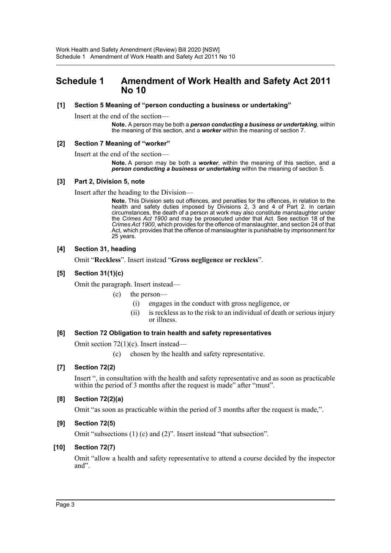# <span id="page-3-0"></span>**Schedule 1 Amendment of Work Health and Safety Act 2011 No 10**

#### **[1] Section 5 Meaning of "person conducting a business or undertaking"**

Insert at the end of the section—

**Note.** A person may be both a *person conducting a business or undertaking*, within the meaning of this section, and a *worker* within the meaning of section 7.

#### **[2] Section 7 Meaning of "worker"**

Insert at the end of the section—

**Note.** A person may be both a *worker*, within the meaning of this section, and a *person conducting a business or undertaking* within the meaning of section 5.

#### **[3] Part 2, Division 5, note**

Insert after the heading to the Division—

**Note.** This Division sets out offences, and penalties for the offences, in relation to the health and safety duties imposed by Divisions 2, 3 and 4 of Part 2. In certain circumstances, the death of a person at work may also constitute manslaughter under the *Crimes Act 1900* and may be prosecuted under that Act. See section 18 of the *Crimes Act 1900*, which provides for the offence of manslaughter, and section 24 of that Act, which provides that the offence of manslaughter is punishable by imprisonment for 25 years.

#### **[4] Section 31, heading**

Omit "**Reckless**". Insert instead "**Gross negligence or reckless**".

#### **[5] Section 31(1)(c)**

Omit the paragraph. Insert instead—

#### (c) the person—

- (i) engages in the conduct with gross negligence, or
- (ii) is reckless as to the risk to an individual of death or serious injury or illness.

#### **[6] Section 72 Obligation to train health and safety representatives**

Omit section 72(1)(c). Insert instead—

(c) chosen by the health and safety representative.

#### **[7] Section 72(2)**

Insert ", in consultation with the health and safety representative and as soon as practicable within the period of 3 months after the request is made" after "must".

#### **[8] Section 72(2)(a)**

Omit "as soon as practicable within the period of 3 months after the request is made,".

#### **[9] Section 72(5)**

Omit "subsections (1) (c) and (2)". Insert instead "that subsection".

#### **[10] Section 72(7)**

Omit "allow a health and safety representative to attend a course decided by the inspector and".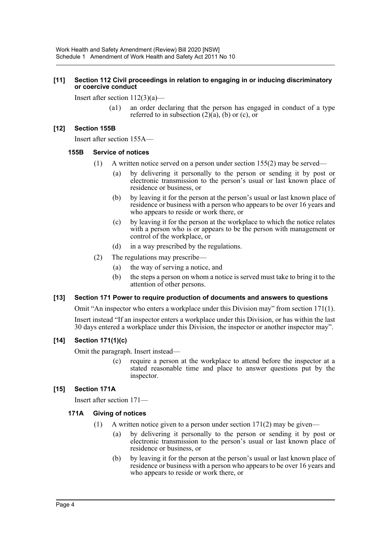#### **[11] Section 112 Civil proceedings in relation to engaging in or inducing discriminatory or coercive conduct**

Insert after section 112(3)(a)—

(a1) an order declaring that the person has engaged in conduct of a type referred to in subsection  $(2)(a)$ ,  $(b)$  or  $(c)$ , or

#### **[12] Section 155B**

Insert after section 155A—

#### **155B Service of notices**

- (1) A written notice served on a person under section 155(2) may be served—
	- (a) by delivering it personally to the person or sending it by post or electronic transmission to the person's usual or last known place of residence or business, or
	- (b) by leaving it for the person at the person's usual or last known place of residence or business with a person who appears to be over 16 years and who appears to reside or work there, or
	- (c) by leaving it for the person at the workplace to which the notice relates with a person who is or appears to be the person with management or control of the workplace, or
	- (d) in a way prescribed by the regulations.
- (2) The regulations may prescribe—
	- (a) the way of serving a notice, and
	- (b) the steps a person on whom a notice is served must take to bring it to the attention of other persons.

#### **[13] Section 171 Power to require production of documents and answers to questions**

Omit "An inspector who enters a workplace under this Division may" from section 171(1).

Insert instead "If an inspector enters a workplace under this Division, or has within the last 30 days entered a workplace under this Division, the inspector or another inspector may".

#### **[14] Section 171(1)(c)**

Omit the paragraph. Insert instead—

(c) require a person at the workplace to attend before the inspector at a stated reasonable time and place to answer questions put by the inspector.

#### **[15] Section 171A**

Insert after section 171—

#### **171A Giving of notices**

- (1) A written notice given to a person under section  $171(2)$  may be given—
	- (a) by delivering it personally to the person or sending it by post or electronic transmission to the person's usual or last known place of residence or business, or
	- (b) by leaving it for the person at the person's usual or last known place of residence or business with a person who appears to be over 16 years and who appears to reside or work there, or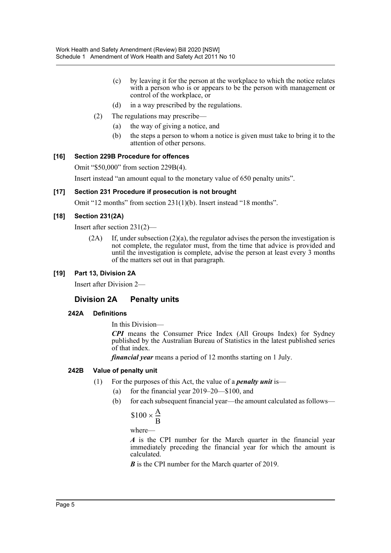- (c) by leaving it for the person at the workplace to which the notice relates with a person who is or appears to be the person with management or control of the workplace, or
- (d) in a way prescribed by the regulations.
- (2) The regulations may prescribe—
	- (a) the way of giving a notice, and
	- (b) the steps a person to whom a notice is given must take to bring it to the attention of other persons.

#### **[16] Section 229B Procedure for offences**

Omit "\$50,000" from section 229B(4).

Insert instead "an amount equal to the monetary value of 650 penalty units".

#### **[17] Section 231 Procedure if prosecution is not brought**

Omit "12 months" from section 231(1)(b). Insert instead "18 months".

#### **[18] Section 231(2A)**

Insert after section 231(2)—

 $(2A)$  If, under subsection  $(2)(a)$ , the regulator advises the person the investigation is not complete, the regulator must, from the time that advice is provided and until the investigation is complete, advise the person at least every 3 months of the matters set out in that paragraph.

#### **[19] Part 13, Division 2A**

Insert after Division 2—

## **Division 2A Penalty units**

#### **242A Definitions**

In this Division—

*CPI* means the Consumer Price Index (All Groups Index) for Sydney published by the Australian Bureau of Statistics in the latest published series of that index.

*financial year* means a period of 12 months starting on 1 July.

#### **242B Value of penalty unit**

- (1) For the purposes of this Act, the value of a *penalty unit* is—
	- (a) for the financial year 2019–20—\$100, and
	- (b) for each subsequent financial year—the amount calculated as follows—

$$
$100 \times \frac{A}{B}
$$

where—

*A* is the CPI number for the March quarter in the financial year immediately preceding the financial year for which the amount is calculated.

*B* is the CPI number for the March quarter of 2019.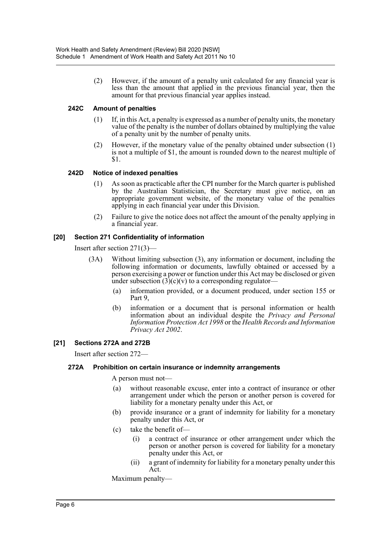(2) However, if the amount of a penalty unit calculated for any financial year is less than the amount that applied in the previous financial year, then the amount for that previous financial year applies instead.

#### **242C Amount of penalties**

- (1) If, in this Act, a penalty is expressed as a number of penalty units, the monetary value of the penalty is the number of dollars obtained by multiplying the value of a penalty unit by the number of penalty units.
- (2) However, if the monetary value of the penalty obtained under subsection (1) is not a multiple of \$1, the amount is rounded down to the nearest multiple of \$1.

#### **242D Notice of indexed penalties**

- (1) As soon as practicable after the CPI number for the March quarter is published by the Australian Statistician, the Secretary must give notice, on an appropriate government website, of the monetary value of the penalties applying in each financial year under this Division.
- (2) Failure to give the notice does not affect the amount of the penalty applying in a financial year.

#### **[20] Section 271 Confidentiality of information**

Insert after section 271(3)—

- (3A) Without limiting subsection (3), any information or document, including the following information or documents, lawfully obtained or accessed by a person exercising a power or function under this Act may be disclosed or given under subsection  $(3)(c)(v)$  to a corresponding regulator-
	- (a) information provided, or a document produced, under section 155 or Part 9,
	- (b) information or a document that is personal information or health information about an individual despite the *Privacy and Personal Information Protection Act 1998* or the *Health Records and Information Privacy Act 2002*.

#### **[21] Sections 272A and 272B**

Insert after section 272—

#### **272A Prohibition on certain insurance or indemnity arrangements**

A person must not—

- (a) without reasonable excuse, enter into a contract of insurance or other arrangement under which the person or another person is covered for liability for a monetary penalty under this Act, or
- (b) provide insurance or a grant of indemnity for liability for a monetary penalty under this Act, or
- (c) take the benefit of—
	- (i) a contract of insurance or other arrangement under which the person or another person is covered for liability for a monetary penalty under this Act, or
	- (ii) a grant of indemnity for liability for a monetary penalty under this Act.

Maximum penalty—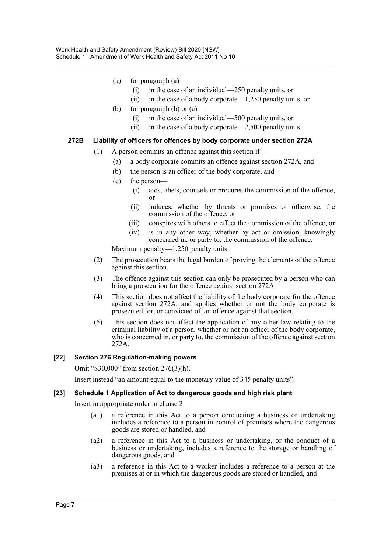- (a) for paragraph  $(a)$ 
	- (i) in the case of an individual—250 penalty units, or
	- (ii) in the case of a body corporate—1,250 penalty units, or
- (b) for paragraph (b) or  $(c)$ 
	- (i) in the case of an individual—500 penalty units, or
	- (ii) in the case of a body corporate—2,500 penalty units.

#### **272B Liability of officers for offences by body corporate under section 272A**

- (1) A person commits an offence against this section if—
	- (a) a body corporate commits an offence against section 272A, and
	- (b) the person is an officer of the body corporate, and
	- (c) the person—
		- (i) aids, abets, counsels or procures the commission of the offence, or
		- (ii) induces, whether by threats or promises or otherwise, the commission of the offence, or
		- (iii) conspires with others to effect the commission of the offence, or
		- (iv) is in any other way, whether by act or omission, knowingly concerned in, or party to, the commission of the offence.

Maximum penalty—1,250 penalty units.

- (2) The prosecution bears the legal burden of proving the elements of the offence against this section.
- (3) The offence against this section can only be prosecuted by a person who can bring a prosecution for the offence against section 272A.
- (4) This section does not affect the liability of the body corporate for the offence against section 272A, and applies whether or not the body corporate is prosecuted for, or convicted of, an offence against that section.
- (5) This section does not affect the application of any other law relating to the criminal liability of a person, whether or not an officer of the body corporate, who is concerned in, or party to, the commission of the offence against section 272A.

#### **[22] Section 276 Regulation-making powers**

Omit "\$30,000" from section 276(3)(h).

Insert instead "an amount equal to the monetary value of 345 penalty units".

#### **[23] Schedule 1 Application of Act to dangerous goods and high risk plant**

Insert in appropriate order in clause 2—

- (a1) a reference in this Act to a person conducting a business or undertaking includes a reference to a person in control of premises where the dangerous goods are stored or handled, and
- (a2) a reference in this Act to a business or undertaking, or the conduct of a business or undertaking, includes a reference to the storage or handling of dangerous goods, and
- (a3) a reference in this Act to a worker includes a reference to a person at the premises at or in which the dangerous goods are stored or handled, and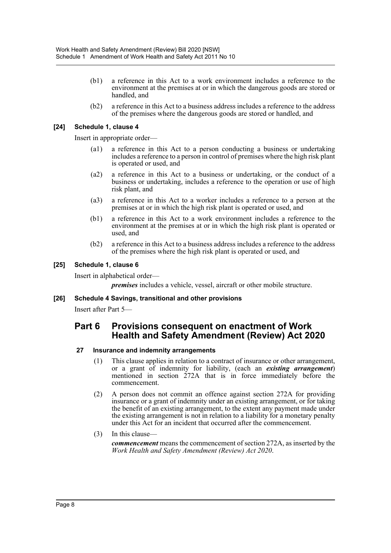- (b1) a reference in this Act to a work environment includes a reference to the environment at the premises at or in which the dangerous goods are stored or handled, and
- (b2) a reference in this Act to a business address includes a reference to the address of the premises where the dangerous goods are stored or handled, and

#### **[24] Schedule 1, clause 4**

Insert in appropriate order—

- (a1) a reference in this Act to a person conducting a business or undertaking includes a reference to a person in control of premises where the high risk plant is operated or used, and
- (a2) a reference in this Act to a business or undertaking, or the conduct of a business or undertaking, includes a reference to the operation or use of high risk plant, and
- (a3) a reference in this Act to a worker includes a reference to a person at the premises at or in which the high risk plant is operated or used, and
- (b1) a reference in this Act to a work environment includes a reference to the environment at the premises at or in which the high risk plant is operated or used, and
- (b2) a reference in this Act to a business address includes a reference to the address of the premises where the high risk plant is operated or used, and

#### **[25] Schedule 1, clause 6**

Insert in alphabetical order—

*premises* includes a vehicle, vessel, aircraft or other mobile structure.

#### **[26] Schedule 4 Savings, transitional and other provisions**

Insert after Part 5—

## **Part 6 Provisions consequent on enactment of Work Health and Safety Amendment (Review) Act 2020**

#### **27 Insurance and indemnity arrangements**

- (1) This clause applies in relation to a contract of insurance or other arrangement, or a grant of indemnity for liability, (each an *existing arrangement*) mentioned in section 272A that is in force immediately before the commencement.
- (2) A person does not commit an offence against section 272A for providing insurance or a grant of indemnity under an existing arrangement, or for taking the benefit of an existing arrangement, to the extent any payment made under the existing arrangement is not in relation to a liability for a monetary penalty under this Act for an incident that occurred after the commencement.
- (3) In this clause—

*commencement* means the commencement of section 272A, as inserted by the *Work Health and Safety Amendment (Review) Act 2020*.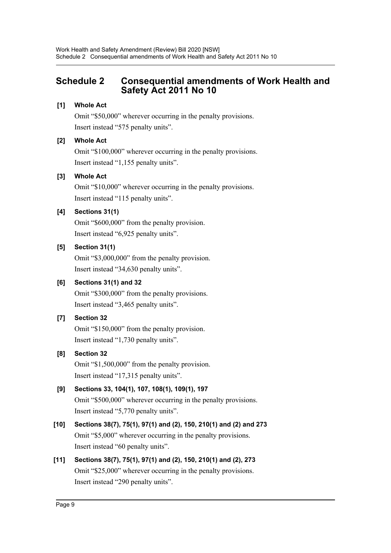# <span id="page-9-0"></span>**Schedule 2 Consequential amendments of Work Health and Safety Act 2011 No 10**

## **[1] Whole Act**

Omit "\$50,000" wherever occurring in the penalty provisions. Insert instead "575 penalty units".

# **[2] Whole Act**

Omit "\$100,000" wherever occurring in the penalty provisions. Insert instead "1,155 penalty units".

## **[3] Whole Act**

Omit "\$10,000" wherever occurring in the penalty provisions. Insert instead "115 penalty units".

# **[4] Sections 31(1)**

Omit "\$600,000" from the penalty provision. Insert instead "6,925 penalty units".

# **[5] Section 31(1)**

Omit "\$3,000,000" from the penalty provision. Insert instead "34,630 penalty units".

# **[6] Sections 31(1) and 32**

Omit "\$300,000" from the penalty provisions. Insert instead "3,465 penalty units".

# **[7] Section 32**

Omit "\$150,000" from the penalty provision. Insert instead "1,730 penalty units".

## **[8] Section 32**

Omit "\$1,500,000" from the penalty provision. Insert instead "17,315 penalty units".

# **[9] Sections 33, 104(1), 107, 108(1), 109(1), 197**

Omit "\$500,000" wherever occurring in the penalty provisions. Insert instead "5,770 penalty units".

# **[10] Sections 38(7), 75(1), 97(1) and (2), 150, 210(1) and (2) and 273** Omit "\$5,000" wherever occurring in the penalty provisions. Insert instead "60 penalty units".

# **[11] Sections 38(7), 75(1), 97(1) and (2), 150, 210(1) and (2), 273** Omit "\$25,000" wherever occurring in the penalty provisions. Insert instead "290 penalty units".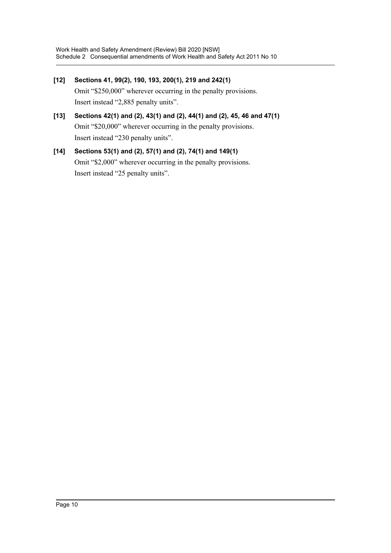- **[12] Sections 41, 99(2), 190, 193, 200(1), 219 and 242(1)** Omit "\$250,000" wherever occurring in the penalty provisions. Insert instead "2,885 penalty units".
- **[13] Sections 42(1) and (2), 43(1) and (2), 44(1) and (2), 45, 46 and 47(1)** Omit "\$20,000" wherever occurring in the penalty provisions. Insert instead "230 penalty units".

```
[14] Sections 53(1) and (2), 57(1) and (2), 74(1) and 149(1)
Omit "$2,000" wherever occurring in the penalty provisions.
Insert instead "25 penalty units".
```